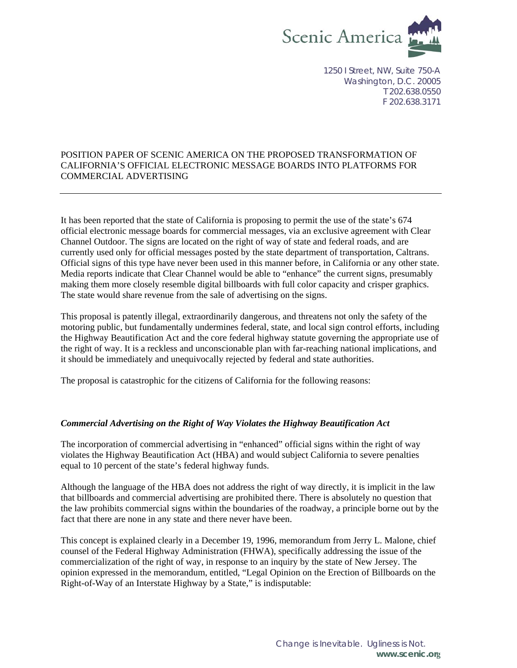

1250 I Street, NW, Suite 750-A Washington, D.C. 20005 T 202.638.0550 F 202.638.3171

### POSITION PAPER OF SCENIC AMERICA ON THE PROPOSED TRANSFORMATION OF CALIFORNIA'S OFFICIAL ELECTRONIC MESSAGE BOARDS INTO PLATFORMS FOR COMMERCIAL ADVERTISING

It has been reported that the state of California is proposing to permit the use of the state's 674 official electronic message boards for commercial messages, via an exclusive agreement with Clear Channel Outdoor. The signs are located on the right of way of state and federal roads, and are currently used only for official messages posted by the state department of transportation, Caltrans. Official signs of this type have never been used in this manner before, in California or any other state. Media reports indicate that Clear Channel would be able to "enhance" the current signs, presumably making them more closely resemble digital billboards with full color capacity and crisper graphics. The state would share revenue from the sale of advertising on the signs.

This proposal is patently illegal, extraordinarily dangerous, and threatens not only the safety of the motoring public, but fundamentally undermines federal, state, and local sign control efforts, including the Highway Beautification Act and the core federal highway statute governing the appropriate use of the right of way. It is a reckless and unconscionable plan with far-reaching national implications, and it should be immediately and unequivocally rejected by federal and state authorities.

The proposal is catastrophic for the citizens of California for the following reasons:

### *Commercial Advertising on the Right of Way Violates the Highway Beautification Act*

The incorporation of commercial advertising in "enhanced" official signs within the right of way violates the Highway Beautification Act (HBA) and would subject California to severe penalties equal to 10 percent of the state's federal highway funds.

Although the language of the HBA does not address the right of way directly, it is implicit in the law that billboards and commercial advertising are prohibited there. There is absolutely no question that the law prohibits commercial signs within the boundaries of the roadway, a principle borne out by the fact that there are none in any state and there never have been.

This concept is explained clearly in a December 19, 1996, memorandum from Jerry L. Malone, chief counsel of the Federal Highway Administration (FHWA), specifically addressing the issue of the commercialization of the right of way, in response to an inquiry by the state of New Jersey. The opinion expressed in the memorandum, entitled, "Legal Opinion on the Erection of Billboards on the Right-of-Way of an Interstate Highway by a State," is indisputable: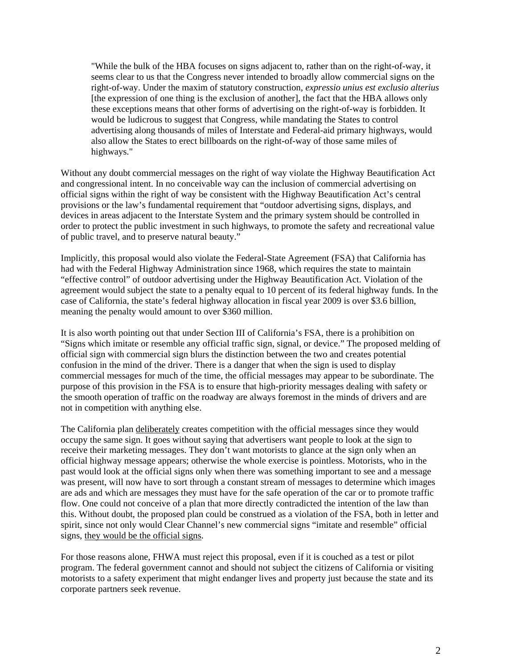"While the bulk of the HBA focuses on signs adjacent to, rather than on the right-of-way, it seems clear to us that the Congress never intended to broadly allow commercial signs on the right-of-way. Under the maxim of statutory construction, *expressio unius est exclusio alterius* [the expression of one thing is the exclusion of another], the fact that the HBA allows only these exceptions means that other forms of advertising on the right-of-way is forbidden. It would be ludicrous to suggest that Congress, while mandating the States to control advertising along thousands of miles of Interstate and Federal-aid primary highways, would also allow the States to erect billboards on the right-of-way of those same miles of highways."

Without any doubt commercial messages on the right of way violate the Highway Beautification Act and congressional intent. In no conceivable way can the inclusion of commercial advertising on official signs within the right of way be consistent with the Highway Beautification Act's central provisions or the law's fundamental requirement that "outdoor advertising signs, displays, and devices in areas adjacent to the Interstate System and the primary system should be controlled in order to protect the public investment in such highways, to promote the safety and recreational value of public travel, and to preserve natural beauty."

Implicitly, this proposal would also violate the Federal-State Agreement (FSA) that California has had with the Federal Highway Administration since 1968, which requires the state to maintain "effective control" of outdoor advertising under the Highway Beautification Act. Violation of the agreement would subject the state to a penalty equal to 10 percent of its federal highway funds. In the case of California, the state's federal highway allocation in fiscal year 2009 is over \$3.6 billion, meaning the penalty would amount to over \$360 million.

It is also worth pointing out that under Section III of California's FSA, there is a prohibition on "Signs which imitate or resemble any official traffic sign, signal, or device." The proposed melding of official sign with commercial sign blurs the distinction between the two and creates potential confusion in the mind of the driver. There is a danger that when the sign is used to display commercial messages for much of the time, the official messages may appear to be subordinate. The purpose of this provision in the FSA is to ensure that high-priority messages dealing with safety or the smooth operation of traffic on the roadway are always foremost in the minds of drivers and are not in competition with anything else.

The California plan deliberately creates competition with the official messages since they would occupy the same sign. It goes without saying that advertisers want people to look at the sign to receive their marketing messages. They don't want motorists to glance at the sign only when an official highway message appears; otherwise the whole exercise is pointless. Motorists, who in the past would look at the official signs only when there was something important to see and a message was present, will now have to sort through a constant stream of messages to determine which images are ads and which are messages they must have for the safe operation of the car or to promote traffic flow. One could not conceive of a plan that more directly contradicted the intention of the law than this. Without doubt, the proposed plan could be construed as a violation of the FSA, both in letter and spirit, since not only would Clear Channel's new commercial signs "imitate and resemble" official signs, they would be the official signs.

For those reasons alone, FHWA must reject this proposal, even if it is couched as a test or pilot program. The federal government cannot and should not subject the citizens of California or visiting motorists to a safety experiment that might endanger lives and property just because the state and its corporate partners seek revenue.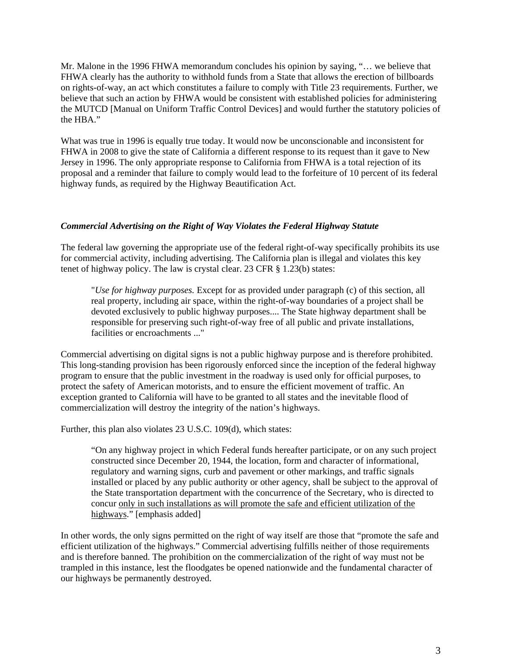Mr. Malone in the 1996 FHWA memorandum concludes his opinion by saying, "… we believe that FHWA clearly has the authority to withhold funds from a State that allows the erection of billboards on rights-of-way, an act which constitutes a failure to comply with Title 23 requirements. Further, we believe that such an action by FHWA would be consistent with established policies for administering the MUTCD [Manual on Uniform Traffic Control Devices] and would further the statutory policies of the HBA."

What was true in 1996 is equally true today. It would now be unconscionable and inconsistent for FHWA in 2008 to give the state of California a different response to its request than it gave to New Jersey in 1996. The only appropriate response to California from FHWA is a total rejection of its proposal and a reminder that failure to comply would lead to the forfeiture of 10 percent of its federal highway funds, as required by the Highway Beautification Act.

### *Commercial Advertising on the Right of Way Violates the Federal Highway Statute*

The federal law governing the appropriate use of the federal right-of-way specifically prohibits its use for commercial activity, including advertising. The California plan is illegal and violates this key tenet of highway policy. The law is crystal clear. 23 CFR § 1.23(b) states:

"*Use for highway purposes.* Except for as provided under paragraph (c) of this section, all real property, including air space, within the right-of-way boundaries of a project shall be devoted exclusively to public highway purposes.... The State highway department shall be responsible for preserving such right-of-way free of all public and private installations, facilities or encroachments ..."

Commercial advertising on digital signs is not a public highway purpose and is therefore prohibited. This long-standing provision has been rigorously enforced since the inception of the federal highway program to ensure that the public investment in the roadway is used only for official purposes, to protect the safety of American motorists, and to ensure the efficient movement of traffic. An exception granted to California will have to be granted to all states and the inevitable flood of commercialization will destroy the integrity of the nation's highways.

Further, this plan also violates 23 U.S.C. 109(d), which states:

"On any highway project in which Federal funds hereafter participate, or on any such project constructed since December 20, 1944, the location, form and character of informational, regulatory and warning signs, curb and pavement or other markings, and traffic signals installed or placed by any public authority or other agency, shall be subject to the approval of the State transportation department with the concurrence of the Secretary, who is directed to concur only in such installations as will promote the safe and efficient utilization of the highways." [emphasis added]

In other words, the only signs permitted on the right of way itself are those that "promote the safe and efficient utilization of the highways." Commercial advertising fulfills neither of those requirements and is therefore banned. The prohibition on the commercialization of the right of way must not be trampled in this instance, lest the floodgates be opened nationwide and the fundamental character of our highways be permanently destroyed.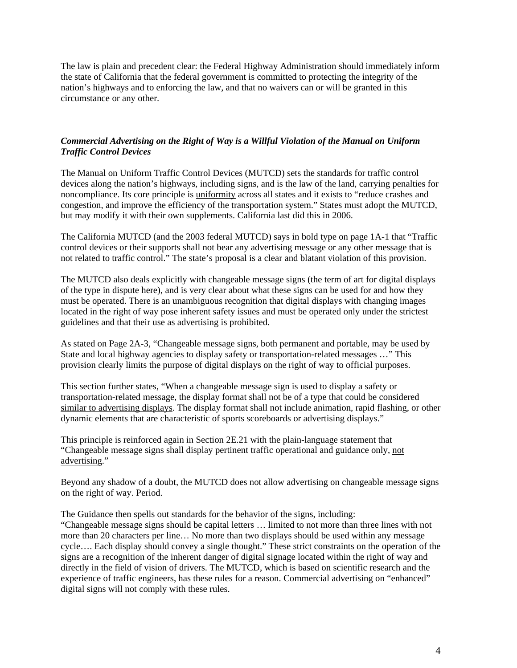The law is plain and precedent clear: the Federal Highway Administration should immediately inform the state of California that the federal government is committed to protecting the integrity of the nation's highways and to enforcing the law, and that no waivers can or will be granted in this circumstance or any other.

## *Commercial Advertising on the Right of Way is a Willful Violation of the Manual on Uniform Traffic Control Devices*

The Manual on Uniform Traffic Control Devices (MUTCD) sets the standards for traffic control devices along the nation's highways, including signs, and is the law of the land, carrying penalties for noncompliance. Its core principle is uniformity across all states and it exists to "reduce crashes and congestion, and improve the efficiency of the transportation system." States must adopt the MUTCD, but may modify it with their own supplements. California last did this in 2006.

The California MUTCD (and the 2003 federal MUTCD) says in bold type on page 1A-1 that "Traffic control devices or their supports shall not bear any advertising message or any other message that is not related to traffic control." The state's proposal is a clear and blatant violation of this provision.

The MUTCD also deals explicitly with changeable message signs (the term of art for digital displays of the type in dispute here), and is very clear about what these signs can be used for and how they must be operated. There is an unambiguous recognition that digital displays with changing images located in the right of way pose inherent safety issues and must be operated only under the strictest guidelines and that their use as advertising is prohibited.

As stated on Page 2A-3, "Changeable message signs, both permanent and portable, may be used by State and local highway agencies to display safety or transportation-related messages …" This provision clearly limits the purpose of digital displays on the right of way to official purposes.

This section further states, "When a changeable message sign is used to display a safety or transportation-related message, the display format shall not be of a type that could be considered similar to advertising displays. The display format shall not include animation, rapid flashing, or other dynamic elements that are characteristic of sports scoreboards or advertising displays."

This principle is reinforced again in Section 2E.21 with the plain-language statement that "Changeable message signs shall display pertinent traffic operational and guidance only, not advertising."

Beyond any shadow of a doubt, the MUTCD does not allow advertising on changeable message signs on the right of way. Period.

The Guidance then spells out standards for the behavior of the signs, including: "Changeable message signs should be capital letters … limited to not more than three lines with not more than 20 characters per line… No more than two displays should be used within any message cycle…. Each display should convey a single thought." These strict constraints on the operation of the signs are a recognition of the inherent danger of digital signage located within the right of way and directly in the field of vision of drivers. The MUTCD, which is based on scientific research and the experience of traffic engineers, has these rules for a reason. Commercial advertising on "enhanced" digital signs will not comply with these rules.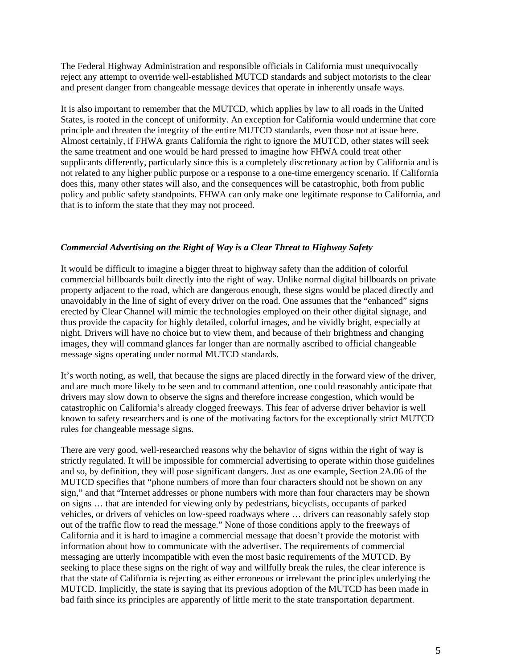The Federal Highway Administration and responsible officials in California must unequivocally reject any attempt to override well-established MUTCD standards and subject motorists to the clear and present danger from changeable message devices that operate in inherently unsafe ways.

It is also important to remember that the MUTCD, which applies by law to all roads in the United States, is rooted in the concept of uniformity. An exception for California would undermine that core principle and threaten the integrity of the entire MUTCD standards, even those not at issue here. Almost certainly, if FHWA grants California the right to ignore the MUTCD, other states will seek the same treatment and one would be hard pressed to imagine how FHWA could treat other supplicants differently, particularly since this is a completely discretionary action by California and is not related to any higher public purpose or a response to a one-time emergency scenario. If California does this, many other states will also, and the consequences will be catastrophic, both from public policy and public safety standpoints. FHWA can only make one legitimate response to California, and that is to inform the state that they may not proceed.

### *Commercial Advertising on the Right of Way is a Clear Threat to Highway Safety*

It would be difficult to imagine a bigger threat to highway safety than the addition of colorful commercial billboards built directly into the right of way. Unlike normal digital billboards on private property adjacent to the road, which are dangerous enough, these signs would be placed directly and unavoidably in the line of sight of every driver on the road. One assumes that the "enhanced" signs erected by Clear Channel will mimic the technologies employed on their other digital signage, and thus provide the capacity for highly detailed, colorful images, and be vividly bright, especially at night. Drivers will have no choice but to view them, and because of their brightness and changing images, they will command glances far longer than are normally ascribed to official changeable message signs operating under normal MUTCD standards.

It's worth noting, as well, that because the signs are placed directly in the forward view of the driver, and are much more likely to be seen and to command attention, one could reasonably anticipate that drivers may slow down to observe the signs and therefore increase congestion, which would be catastrophic on California's already clogged freeways. This fear of adverse driver behavior is well known to safety researchers and is one of the motivating factors for the exceptionally strict MUTCD rules for changeable message signs.

There are very good, well-researched reasons why the behavior of signs within the right of way is strictly regulated. It will be impossible for commercial advertising to operate within those guidelines and so, by definition, they will pose significant dangers. Just as one example, Section 2A.06 of the MUTCD specifies that "phone numbers of more than four characters should not be shown on any sign," and that "Internet addresses or phone numbers with more than four characters may be shown on signs … that are intended for viewing only by pedestrians, bicyclists, occupants of parked vehicles, or drivers of vehicles on low-speed roadways where … drivers can reasonably safely stop out of the traffic flow to read the message." None of those conditions apply to the freeways of California and it is hard to imagine a commercial message that doesn't provide the motorist with information about how to communicate with the advertiser. The requirements of commercial messaging are utterly incompatible with even the most basic requirements of the MUTCD. By seeking to place these signs on the right of way and willfully break the rules, the clear inference is that the state of California is rejecting as either erroneous or irrelevant the principles underlying the MUTCD. Implicitly, the state is saying that its previous adoption of the MUTCD has been made in bad faith since its principles are apparently of little merit to the state transportation department.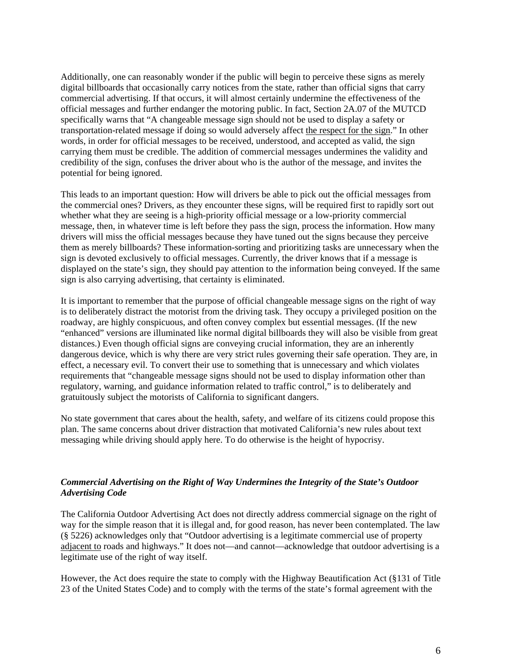Additionally, one can reasonably wonder if the public will begin to perceive these signs as merely digital billboards that occasionally carry notices from the state, rather than official signs that carry commercial advertising. If that occurs, it will almost certainly undermine the effectiveness of the official messages and further endanger the motoring public. In fact, Section 2A.07 of the MUTCD specifically warns that "A changeable message sign should not be used to display a safety or transportation-related message if doing so would adversely affect the respect for the sign." In other words, in order for official messages to be received, understood, and accepted as valid, the sign carrying them must be credible. The addition of commercial messages undermines the validity and credibility of the sign, confuses the driver about who is the author of the message, and invites the potential for being ignored.

This leads to an important question: How will drivers be able to pick out the official messages from the commercial ones? Drivers, as they encounter these signs, will be required first to rapidly sort out whether what they are seeing is a high-priority official message or a low-priority commercial message, then, in whatever time is left before they pass the sign, process the information. How many drivers will miss the official messages because they have tuned out the signs because they perceive them as merely billboards? These information-sorting and prioritizing tasks are unnecessary when the sign is devoted exclusively to official messages. Currently, the driver knows that if a message is displayed on the state's sign, they should pay attention to the information being conveyed. If the same sign is also carrying advertising, that certainty is eliminated.

It is important to remember that the purpose of official changeable message signs on the right of way is to deliberately distract the motorist from the driving task. They occupy a privileged position on the roadway, are highly conspicuous, and often convey complex but essential messages. (If the new "enhanced" versions are illuminated like normal digital billboards they will also be visible from great distances.) Even though official signs are conveying crucial information, they are an inherently dangerous device, which is why there are very strict rules governing their safe operation. They are, in effect, a necessary evil. To convert their use to something that is unnecessary and which violates requirements that "changeable message signs should not be used to display information other than regulatory, warning, and guidance information related to traffic control," is to deliberately and gratuitously subject the motorists of California to significant dangers.

No state government that cares about the health, safety, and welfare of its citizens could propose this plan. The same concerns about driver distraction that motivated California's new rules about text messaging while driving should apply here. To do otherwise is the height of hypocrisy.

# *Commercial Advertising on the Right of Way Undermines the Integrity of the State's Outdoor Advertising Code*

The California Outdoor Advertising Act does not directly address commercial signage on the right of way for the simple reason that it is illegal and, for good reason, has never been contemplated. The law (§ 5226) acknowledges only that "Outdoor advertising is a legitimate commercial use of property adjacent to roads and highways." It does not—and cannot—acknowledge that outdoor advertising is a legitimate use of the right of way itself.

However, the Act does require the state to comply with the Highway Beautification Act (§131 of Title 23 of the United States Code) and to comply with the terms of the state's formal agreement with the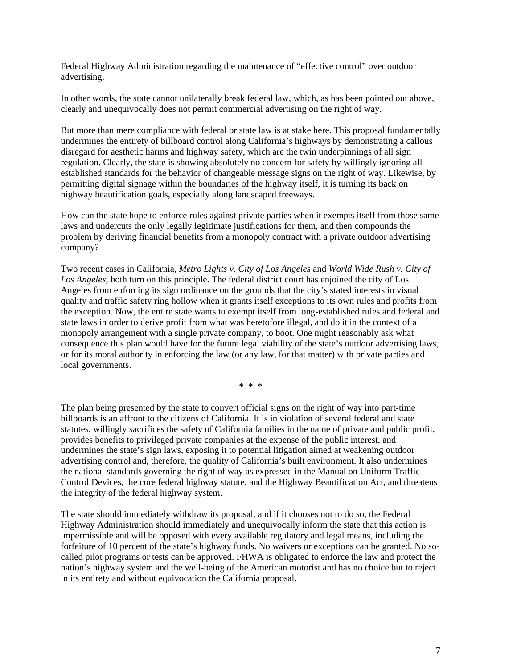Federal Highway Administration regarding the maintenance of "effective control" over outdoor advertising.

In other words, the state cannot unilaterally break federal law, which, as has been pointed out above, clearly and unequivocally does not permit commercial advertising on the right of way.

But more than mere compliance with federal or state law is at stake here. This proposal fundamentally undermines the entirety of billboard control along California's highways by demonstrating a callous disregard for aesthetic harms and highway safety, which are the twin underpinnings of all sign regulation. Clearly, the state is showing absolutely no concern for safety by willingly ignoring all established standards for the behavior of changeable message signs on the right of way. Likewise, by permitting digital signage within the boundaries of the highway itself, it is turning its back on highway beautification goals, especially along landscaped freeways.

How can the state hope to enforce rules against private parties when it exempts itself from those same laws and undercuts the only legally legitimate justifications for them, and then compounds the problem by deriving financial benefits from a monopoly contract with a private outdoor advertising company?

Two recent cases in California, *Metro Lights v. City of Los Angeles* and *World Wide Rush v. City of Los Angeles*, both turn on this principle. The federal district court has enjoined the city of Los Angeles from enforcing its sign ordinance on the grounds that the city's stated interests in visual quality and traffic safety ring hollow when it grants itself exceptions to its own rules and profits from the exception. Now, the entire state wants to exempt itself from long-established rules and federal and state laws in order to derive profit from what was heretofore illegal, and do it in the context of a monopoly arrangement with a single private company, to boot. One might reasonably ask what consequence this plan would have for the future legal viability of the state's outdoor advertising laws, or for its moral authority in enforcing the law (or any law, for that matter) with private parties and local governments.

\* \* \*

The plan being presented by the state to convert official signs on the right of way into part-time billboards is an affront to the citizens of California. It is in violation of several federal and state statutes, willingly sacrifices the safety of California families in the name of private and public profit, provides benefits to privileged private companies at the expense of the public interest, and undermines the state's sign laws, exposing it to potential litigation aimed at weakening outdoor advertising control and, therefore, the quality of California's built environment. It also undermines the national standards governing the right of way as expressed in the Manual on Uniform Traffic Control Devices, the core federal highway statute, and the Highway Beautification Act, and threatens the integrity of the federal highway system.

The state should immediately withdraw its proposal, and if it chooses not to do so, the Federal Highway Administration should immediately and unequivocally inform the state that this action is impermissible and will be opposed with every available regulatory and legal means, including the forfeiture of 10 percent of the state's highway funds. No waivers or exceptions can be granted. No socalled pilot programs or tests can be approved. FHWA is obligated to enforce the law and protect the nation's highway system and the well-being of the American motorist and has no choice but to reject in its entirety and without equivocation the California proposal.